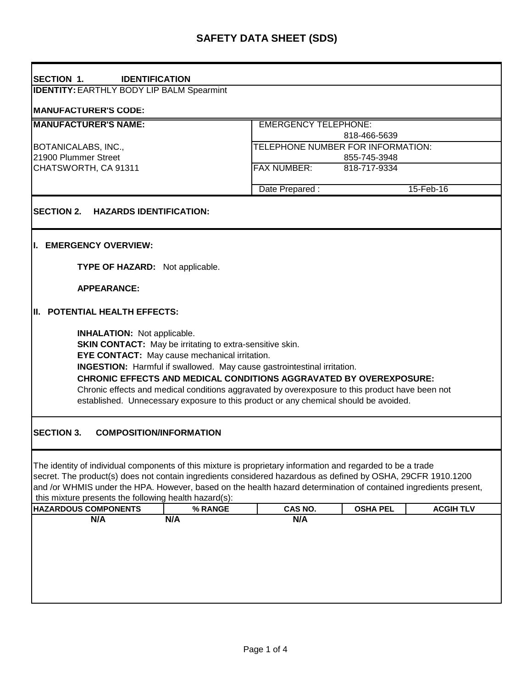| <b>SECTION 1.</b><br><b>IDENTIFICATION</b>                                                                                                                                                                                                                                                                                                                                                                                                                                                                       |                             |                                     |  |  |  |
|------------------------------------------------------------------------------------------------------------------------------------------------------------------------------------------------------------------------------------------------------------------------------------------------------------------------------------------------------------------------------------------------------------------------------------------------------------------------------------------------------------------|-----------------------------|-------------------------------------|--|--|--|
| <b>IDENTITY: EARTHLY BODY LIP BALM Spearmint</b>                                                                                                                                                                                                                                                                                                                                                                                                                                                                 |                             |                                     |  |  |  |
| <b>MANUFACTURER'S CODE:</b>                                                                                                                                                                                                                                                                                                                                                                                                                                                                                      |                             |                                     |  |  |  |
| <b>MANUFACTURER'S NAME:</b>                                                                                                                                                                                                                                                                                                                                                                                                                                                                                      | <b>EMERGENCY TELEPHONE:</b> |                                     |  |  |  |
|                                                                                                                                                                                                                                                                                                                                                                                                                                                                                                                  | 818-466-5639                |                                     |  |  |  |
| BOTANICALABS, INC.,                                                                                                                                                                                                                                                                                                                                                                                                                                                                                              |                             | TELEPHONE NUMBER FOR INFORMATION:   |  |  |  |
| 21900 Plummer Street                                                                                                                                                                                                                                                                                                                                                                                                                                                                                             |                             | 855-745-3948                        |  |  |  |
| CHATSWORTH, CA 91311                                                                                                                                                                                                                                                                                                                                                                                                                                                                                             | <b>FAX NUMBER:</b>          | 818-717-9334                        |  |  |  |
|                                                                                                                                                                                                                                                                                                                                                                                                                                                                                                                  |                             |                                     |  |  |  |
|                                                                                                                                                                                                                                                                                                                                                                                                                                                                                                                  | Date Prepared:              | 15-Feb-16                           |  |  |  |
| <b>SECTION 2.</b><br><b>HAZARDS IDENTIFICATION:</b>                                                                                                                                                                                                                                                                                                                                                                                                                                                              |                             |                                     |  |  |  |
|                                                                                                                                                                                                                                                                                                                                                                                                                                                                                                                  |                             |                                     |  |  |  |
|                                                                                                                                                                                                                                                                                                                                                                                                                                                                                                                  |                             |                                     |  |  |  |
| I. EMERGENCY OVERVIEW:                                                                                                                                                                                                                                                                                                                                                                                                                                                                                           |                             |                                     |  |  |  |
| TYPE OF HAZARD: Not applicable.                                                                                                                                                                                                                                                                                                                                                                                                                                                                                  |                             |                                     |  |  |  |
|                                                                                                                                                                                                                                                                                                                                                                                                                                                                                                                  |                             |                                     |  |  |  |
| <b>APPEARANCE:</b>                                                                                                                                                                                                                                                                                                                                                                                                                                                                                               |                             |                                     |  |  |  |
|                                                                                                                                                                                                                                                                                                                                                                                                                                                                                                                  |                             |                                     |  |  |  |
| II. POTENTIAL HEALTH EFFECTS:                                                                                                                                                                                                                                                                                                                                                                                                                                                                                    |                             |                                     |  |  |  |
| <b>INHALATION:</b> Not applicable.<br><b>SKIN CONTACT:</b> May be irritating to extra-sensitive skin.<br>EYE CONTACT: May cause mechanical irritation.<br><b>INGESTION:</b> Harmful if swallowed. May cause gastrointestinal irritation.<br><b>CHRONIC EFFECTS AND MEDICAL CONDITIONS AGGRAVATED BY OVEREXPOSURE:</b><br>Chronic effects and medical conditions aggravated by overexposure to this product have been not<br>established. Unnecessary exposure to this product or any chemical should be avoided. |                             |                                     |  |  |  |
| <b>SECTION 3.</b><br><b>COMPOSITION/INFORMATION</b>                                                                                                                                                                                                                                                                                                                                                                                                                                                              |                             |                                     |  |  |  |
| The identity of individual components of this mixture is proprietary information and regarded to be a trade<br>secret. The product(s) does not contain ingredients considered hazardous as defined by OSHA, 29CFR 1910.1200<br>and /or WHMIS under the HPA. However, based on the health hazard determination of contained ingredients present,<br>this mixture presents the following health hazard(s):                                                                                                         |                             |                                     |  |  |  |
| <b>HAZARDOUS COMPONENTS</b><br>% RANGE                                                                                                                                                                                                                                                                                                                                                                                                                                                                           | CAS NO.                     | <b>ACGIH TLV</b><br><b>OSHA PEL</b> |  |  |  |
| N/A<br>N/A                                                                                                                                                                                                                                                                                                                                                                                                                                                                                                       | N/A                         |                                     |  |  |  |
|                                                                                                                                                                                                                                                                                                                                                                                                                                                                                                                  |                             |                                     |  |  |  |
|                                                                                                                                                                                                                                                                                                                                                                                                                                                                                                                  |                             |                                     |  |  |  |
|                                                                                                                                                                                                                                                                                                                                                                                                                                                                                                                  |                             |                                     |  |  |  |
|                                                                                                                                                                                                                                                                                                                                                                                                                                                                                                                  |                             |                                     |  |  |  |
|                                                                                                                                                                                                                                                                                                                                                                                                                                                                                                                  |                             |                                     |  |  |  |
|                                                                                                                                                                                                                                                                                                                                                                                                                                                                                                                  |                             |                                     |  |  |  |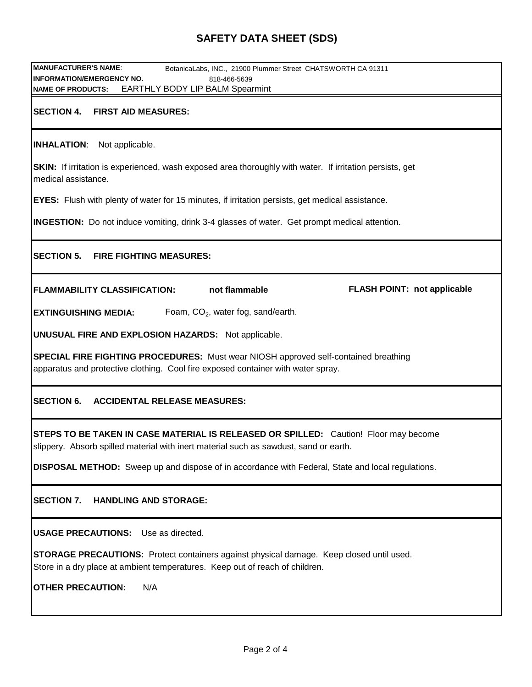## **SAFETY DATA SHEET (SDS)**

| <b>MANUFACTURER'S NAME:</b><br>BotanicaLabs, INC., 21900 Plummer Street CHATSWORTH CA 91311                                                                                     |  |  |  |  |  |
|---------------------------------------------------------------------------------------------------------------------------------------------------------------------------------|--|--|--|--|--|
| <b>INFORMATION/EMERGENCY NO.</b><br>818-466-5639<br><b>EARTHLY BODY LIP BALM Spearmint</b><br><b>NAME OF PRODUCTS:</b>                                                          |  |  |  |  |  |
| <b>SECTION 4.</b><br><b>FIRST AID MEASURES:</b>                                                                                                                                 |  |  |  |  |  |
| Not applicable.<br><b>INHALATION:</b>                                                                                                                                           |  |  |  |  |  |
| SKIN: If irritation is experienced, wash exposed area thoroughly with water. If irritation persists, get<br>medical assistance.                                                 |  |  |  |  |  |
| <b>EYES:</b> Flush with plenty of water for 15 minutes, if irritation persists, get medical assistance.                                                                         |  |  |  |  |  |
| <b>INGESTION:</b> Do not induce vomiting, drink 3-4 glasses of water. Get prompt medical attention.                                                                             |  |  |  |  |  |
| <b>SECTION 5.</b><br><b>FIRE FIGHTING MEASURES:</b>                                                                                                                             |  |  |  |  |  |
| not flammable<br><b>FLASH POINT: not applicable</b><br><b>FLAMMABILITY CLASSIFICATION:</b>                                                                                      |  |  |  |  |  |
| Foam, $CO2$ , water fog, sand/earth.<br><b>EXTINGUISHING MEDIA:</b>                                                                                                             |  |  |  |  |  |
| <b>UNUSUAL FIRE AND EXPLOSION HAZARDS:</b> Not applicable.                                                                                                                      |  |  |  |  |  |
| SPECIAL FIRE FIGHTING PROCEDURES: Must wear NIOSH approved self-contained breathing<br>apparatus and protective clothing. Cool fire exposed container with water spray.         |  |  |  |  |  |
| <b>SECTION 6.</b><br><b>ACCIDENTAL RELEASE MEASURES:</b>                                                                                                                        |  |  |  |  |  |
| STEPS TO BE TAKEN IN CASE MATERIAL IS RELEASED OR SPILLED: Caution! Floor may become<br>slippery. Absorb spilled material with inert material such as sawdust, sand or earth.   |  |  |  |  |  |
| <b>DISPOSAL METHOD:</b> Sweep up and dispose of in accordance with Federal, State and local regulations.                                                                        |  |  |  |  |  |
| <b>SECTION 7.</b><br><b>HANDLING AND STORAGE:</b>                                                                                                                               |  |  |  |  |  |
| <b>USAGE PRECAUTIONS:</b> Use as directed.                                                                                                                                      |  |  |  |  |  |
| <b>STORAGE PRECAUTIONS:</b> Protect containers against physical damage. Keep closed until used.<br>Store in a dry place at ambient temperatures. Keep out of reach of children. |  |  |  |  |  |
| <b>OTHER PRECAUTION:</b><br>N/A                                                                                                                                                 |  |  |  |  |  |
|                                                                                                                                                                                 |  |  |  |  |  |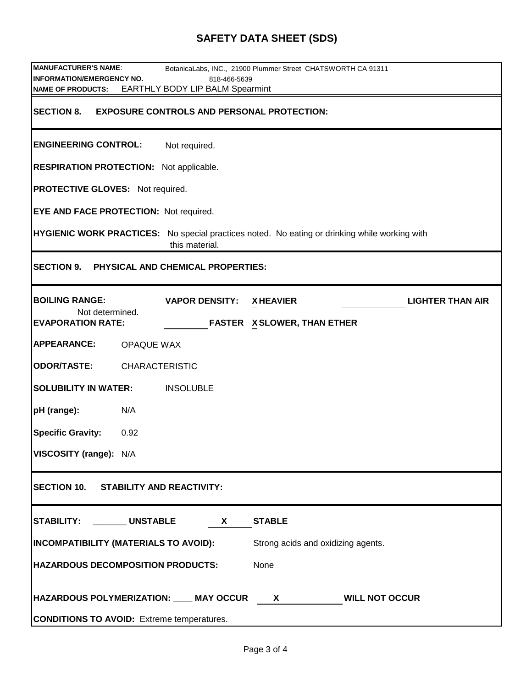## **SAFETY DATA SHEET (SDS)**

| <b>MANUFACTURER'S NAME:</b>                                                                                            |                                 | BotanicaLabs, INC., 21900 Plummer Street CHATSWORTH CA 91311                                                                                                                                                                                                                                                              |                         |  |  |  |
|------------------------------------------------------------------------------------------------------------------------|---------------------------------|---------------------------------------------------------------------------------------------------------------------------------------------------------------------------------------------------------------------------------------------------------------------------------------------------------------------------|-------------------------|--|--|--|
| <b>INFORMATION/EMERGENCY NO.</b>                                                                                       | 818-466-5639                    |                                                                                                                                                                                                                                                                                                                           |                         |  |  |  |
| <b>NAME OF PRODUCTS:</b>                                                                                               | EARTHLY BODY LIP BALM Spearmint |                                                                                                                                                                                                                                                                                                                           |                         |  |  |  |
| <b>SECTION 8.</b><br><b>EXPOSURE CONTROLS AND PERSONAL PROTECTION:</b>                                                 |                                 |                                                                                                                                                                                                                                                                                                                           |                         |  |  |  |
| <b>ENGINEERING CONTROL:</b>                                                                                            | Not required.                   |                                                                                                                                                                                                                                                                                                                           |                         |  |  |  |
| <b>RESPIRATION PROTECTION:</b> Not applicable.                                                                         |                                 |                                                                                                                                                                                                                                                                                                                           |                         |  |  |  |
| <b>PROTECTIVE GLOVES: Not required.</b>                                                                                |                                 |                                                                                                                                                                                                                                                                                                                           |                         |  |  |  |
| <b>EYE AND FACE PROTECTION: Not required.</b>                                                                          |                                 |                                                                                                                                                                                                                                                                                                                           |                         |  |  |  |
| <b>HYGIENIC WORK PRACTICES:</b> No special practices noted. No eating or drinking while working with<br>this material. |                                 |                                                                                                                                                                                                                                                                                                                           |                         |  |  |  |
| <b>SECTION 9.</b><br>PHYSICAL AND CHEMICAL PROPERTIES:                                                                 |                                 |                                                                                                                                                                                                                                                                                                                           |                         |  |  |  |
| <b>BOILING RANGE:</b>                                                                                                  | <b>VAPOR DENSITY:</b>           | <b>XHEAVIER</b>                                                                                                                                                                                                                                                                                                           | <b>LIGHTER THAN AIR</b> |  |  |  |
| Not determined.<br><b>EVAPORATION RATE:</b>                                                                            |                                 | <b>FASTER X SLOWER, THAN ETHER</b>                                                                                                                                                                                                                                                                                        |                         |  |  |  |
| <b>APPEARANCE:</b><br><b>OPAQUE WAX</b>                                                                                |                                 |                                                                                                                                                                                                                                                                                                                           |                         |  |  |  |
| <b>ODOR/TASTE:</b><br><b>CHARACTERISTIC</b>                                                                            |                                 |                                                                                                                                                                                                                                                                                                                           |                         |  |  |  |
| <b>SOLUBILITY IN WATER:</b><br><b>INSOLUBLE</b>                                                                        |                                 |                                                                                                                                                                                                                                                                                                                           |                         |  |  |  |
| N/A<br>pH (range):                                                                                                     |                                 |                                                                                                                                                                                                                                                                                                                           |                         |  |  |  |
| <b>Specific Gravity:</b><br>0.92                                                                                       |                                 |                                                                                                                                                                                                                                                                                                                           |                         |  |  |  |
| VISCOSITY (range): N/A                                                                                                 |                                 |                                                                                                                                                                                                                                                                                                                           |                         |  |  |  |
| <b>SECTION 10.</b><br><b>STABILITY AND REACTIVITY:</b>                                                                 |                                 |                                                                                                                                                                                                                                                                                                                           |                         |  |  |  |
| STABILITY: UNSTABLE<br><b>STABLE</b><br>X.                                                                             |                                 |                                                                                                                                                                                                                                                                                                                           |                         |  |  |  |
| <b>INCOMPATIBILITY (MATERIALS TO AVOID):</b><br>Strong acids and oxidizing agents.                                     |                                 |                                                                                                                                                                                                                                                                                                                           |                         |  |  |  |
| <b>HAZARDOUS DECOMPOSITION PRODUCTS:</b><br>None                                                                       |                                 |                                                                                                                                                                                                                                                                                                                           |                         |  |  |  |
| HAZARDOUS POLYMERIZATION: ___ MAY OCCUR                                                                                |                                 | <b>WILL NOT OCCUR</b><br>$\mathsf{X}$ and $\mathsf{X}$ and $\mathsf{X}$ are $\mathsf{X}$ and $\mathsf{X}$ are $\mathsf{X}$ and $\mathsf{X}$ are $\mathsf{X}$ and $\mathsf{X}$ are $\mathsf{X}$ and $\mathsf{X}$ are $\mathsf{X}$ and $\mathsf{X}$ are $\mathsf{X}$ and $\mathsf{X}$ are $\mathsf{X}$ and $\mathsf{X}$ are |                         |  |  |  |
| <b>CONDITIONS TO AVOID:</b> Extreme temperatures.                                                                      |                                 |                                                                                                                                                                                                                                                                                                                           |                         |  |  |  |